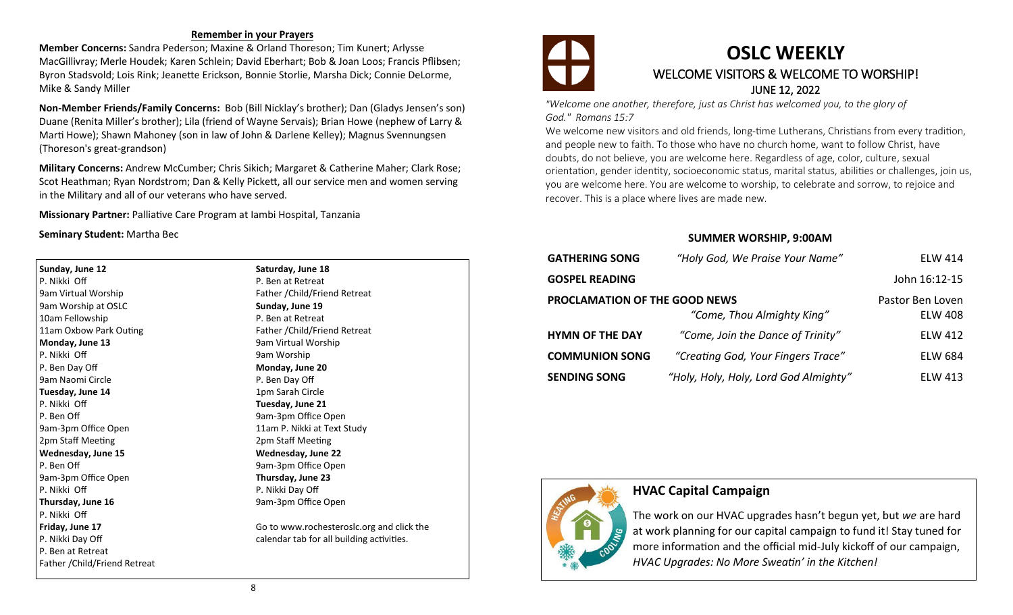#### **Remember in your Prayers**

**Member Concerns:** Sandra Pederson; Maxine & Orland Thoreson; Tim Kunert; Arlysse MacGillivray; Merle Houdek; Karen Schlein; David Eberhart; Bob & Joan Loos; Francis Pflibsen; Byron Stadsvold; Lois Rink; Jeanette Erickson, Bonnie Storlie, Marsha Dick; Connie DeLorme, Mike & Sandy Miller

**Non-Member Friends/Family Concerns:** Bob (Bill Nicklay's brother); Dan (Gladys Jensen's son) Duane (Renita Miller's brother); Lila (friend of Wayne Servais); Brian Howe (nephew of Larry & Marti Howe); Shawn Mahoney (son in law of John & Darlene Kelley); Magnus Svennungsen (Thoreson's great-grandson)

**Military Concerns:** Andrew McCumber; Chris Sikich; Margaret & Catherine Maher; Clark Rose; Scot Heathman; Ryan Nordstrom; Dan & Kelly Pickett, all our service men and women serving in the Military and all of our veterans who have served.

**Missionary Partner:** Palliative Care Program at Iambi Hospital, Tanzania

**Seminary Student:** Martha Bec

**Sunday, June 12** P. Nikki Off 9am Virtual Worship 9am Worship at OSLC 10am Fellowship 11am Oxbow Park Outing **Monday, June 13** P. Nikki Off P. Ben Day Off 9am Naomi Circle **Tuesday, June 14** P. Nikki Off P. Ben Off 9am-3pm Office Open 2pm Staff Meeting **Wednesday, June 15** P. Ben Off 9am-3pm Office Open P. Nikki Off **Thursday, June 16** P. Nikki Off **Friday, June 17** P. Nikki Day Off P. Ben at Retreat Father /Child/Friend Retreat **Saturday, June 18** P. Ben at Retreat Father /Child/Friend Retreat **Sunday, June 19** P. Ben at Retreat Father /Child/Friend Retreat 9am Virtual Worship 9am Worship **Monday, June 20** P. Ben Day Off 1pm Sarah Circle **Tuesday, June 21** 9am-3pm Office Open 11am P. Nikki at Text Study 2pm Staff Meeting **Wednesday, June 22** 9am-3pm Office Open **Thursday, June 23** P. Nikki Day Off 9am-3pm Office Open Go to www.rochesteroslc.org and click the

calendar tab for all building activities.



### **OSLC WEEKLY** WELCOME VISITORS & WELCOME TO WORSHIP! JUNE 12, 2022

*"Welcome one another, therefore, just as Christ has welcomed you, to the glory of God." Romans 15:7*

We welcome new visitors and old friends, long-time Lutherans, Christians from every tradition, and people new to faith. To those who have no church home, want to follow Christ, have doubts, do not believe, you are welcome here. Regardless of age, color, culture, sexual orientation, gender identity, socioeconomic status, marital status, abilities or challenges, join us, you are welcome here. You are welcome to worship, to celebrate and sorrow, to rejoice and recover. This is a place where lives are made new.

#### **SUMMER WORSHIP, 9:00AM**

| <b>GATHERING SONG</b>                                              | "Holy God, We Praise Your Name"       | <b>ELW 414</b>                     |
|--------------------------------------------------------------------|---------------------------------------|------------------------------------|
| <b>GOSPEL READING</b>                                              |                                       | John 16:12-15                      |
| <b>PROCLAMATION OF THE GOOD NEWS</b><br>"Come, Thou Almighty King" |                                       | Pastor Ben Loven<br><b>ELW 408</b> |
| <b>HYMN OF THE DAY</b>                                             | "Come, Join the Dance of Trinity"     | <b>ELW 412</b>                     |
| <b>COMMUNION SONG</b>                                              | "Creating God, Your Fingers Trace"    | <b>ELW 684</b>                     |
| <b>SENDING SONG</b>                                                | "Holy, Holy, Holy, Lord God Almighty" | <b>ELW 413</b>                     |



### **HVAC Capital Campaign**

The work on our HVAC upgrades hasn't begun yet, but *we* are hard at work planning for our capital campaign to fund it! Stay tuned for more information and the official mid-July kickoff of our campaign, *HVAC Upgrades: No More Sweatin' in the Kitchen!*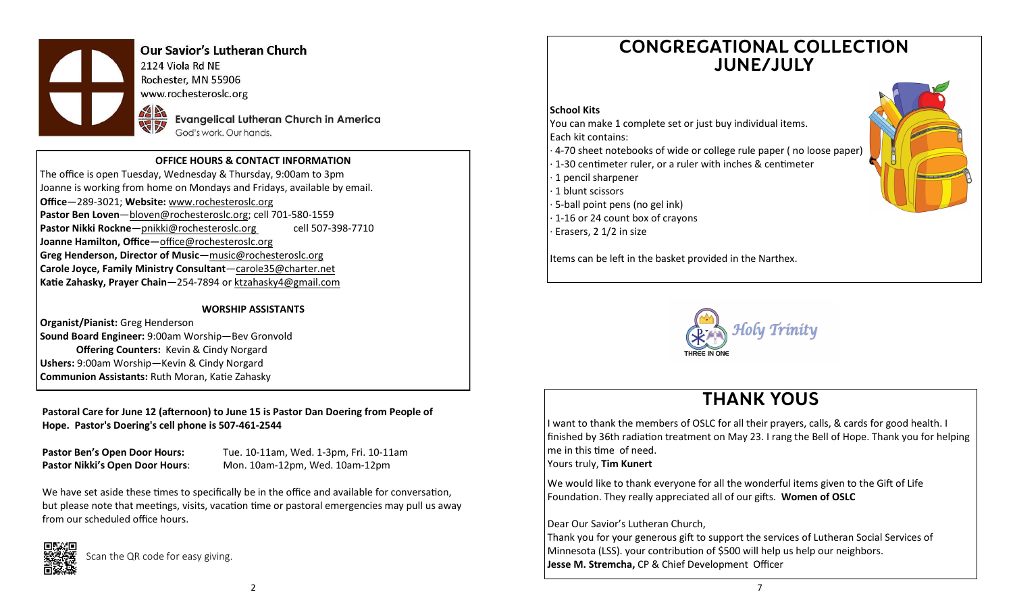

### **Our Savior's Lutheran Church**

2124 Viola Rd NE Rochester, MN 55906 www.rochesteroslc.org

> **Evangelical Lutheran Church in America** God's work. Our hands.

#### **OFFICE HOURS & CONTACT INFORMATION**

The office is open Tuesday, Wednesday & Thursday, 9:00am to 3pm Joanne is working from home on Mondays and Fridays, available by email. **Office**—289-3021; **Website:** www.rochesteroslc.org **Pastor Ben Loven**—bloven@rochesteroslc.org; cell 701-580-1559 Pastor Nikki Rockne-pnikki@rochesteroslc.org cell 507-398-7710 **Joanne Hamilton, Office—**office@rochesteroslc.org **Greg Henderson, Director of Music**—music@rochesteroslc.org **Carole Joyce, Family Ministry Consultant**—carole35@charter.net **Katie Zahasky, Prayer Chain**—254-7894 or ktzahasky4@gmail.com

#### **WORSHIP ASSISTANTS**

**Organist/Pianist:** Greg Henderson **Sound Board Engineer:** 9:00am Worship—Bev Gronvold **Offering Counters:** Kevin & Cindy Norgard **Ushers:** 9:00am Worship—Kevin & Cindy Norgard **Communion Assistants:** Ruth Moran, Katie Zahasky

**Pastoral Care for June 12 (afternoon) to June 15 is Pastor Dan Doering from People of Hope. Pastor's Doering's cell phone is 507-461-2544**

**Pastor Ben's Open Door Hours:** Tue. 10-11am, Wed. 1-3pm, Fri. 10-11am **Pastor Nikki's Open Door Hours**: Mon. 10am-12pm, Wed. 10am-12pm

We have set aside these times to specifically be in the office and available for conversation, but please note that meetings, visits, vacation time or pastoral emergencies may pull us away from our scheduled office hours.



Scan the QR code for easy giving.

## **CONGREGATIONAL COLLECTION JUNE/JULY**

#### **School Kits**

You can make 1 complete set or just buy individual items. Each kit contains:

- · 4-70 sheet notebooks of wide or college rule paper ( no loose paper)
- · 1-30 centimeter ruler, or a ruler with inches & centimeter
- · 1 pencil sharpener
- · 1 blunt scissors
- · 5-ball point pens (no gel ink)
- · 1-16 or 24 count box of crayons
- Erasers, 2 1/2 in size

Items can be left in the basket provided in the Narthex.



## **THANK YOUS**

I want to thank the members of OSLC for all their prayers, calls, & cards for good health. I finished by 36th radiation treatment on May 23. I rang the Bell of Hope. Thank you for helping me in this time of need. Yours truly, **Tim Kunert**

We would like to thank everyone for all the wonderful items given to the Gift of Life Foundation. They really appreciated all of our gifts. **Women of OSLC**

#### Dear Our Savior's Lutheran Church,

Thank you for your generous gift to support the services of Lutheran Social Services of Minnesota (LSS). your contribution of \$500 will help us help our neighbors. **Jesse M. Stremcha,** CP & Chief Development Officer

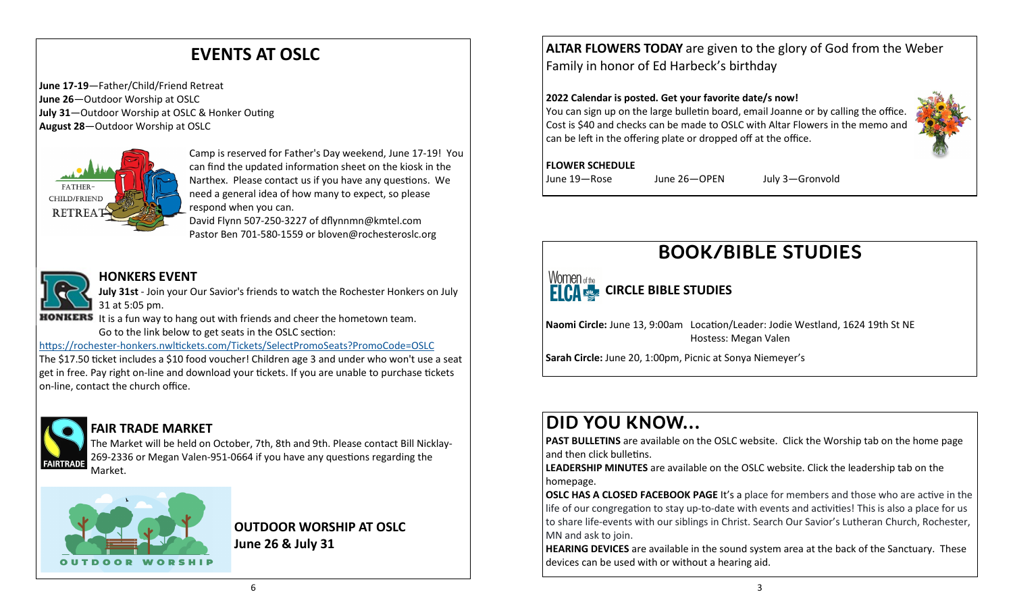# **EVENTS AT OSLC**

**June 17-19**—Father/Child/Friend Retreat **June 26**—Outdoor Worship at OSLC **July 31**—Outdoor Worship at OSLC & Honker Outing **August 28**—Outdoor Worship at OSLC



Camp is reserved for Father's Day weekend, June 17-19! You can find the updated information sheet on the kiosk in the Narthex. Please contact us if you have any questions. We need a general idea of how many to expect, so please respond when you can.

David Flynn 507-250-3227 of dflynnmn@kmtel.com Pastor Ben 701-580-1559 or bloven@rochesteroslc.org

### **HONKERS EVENT**

**July 31st** - Join your Our Savior's friends to watch the Rochester Honkers on July 31 at 5:05 pm.

**HONKERS** It is a fun way to hang out with friends and cheer the hometown team. Go to the link below to get seats in the OSLC section:

https://rochester-[honkers.nwltickets.com/Tickets/SelectPromoSeats?PromoCode=OSLC](https://rochester-honkers.nwltickets.com/Tickets/SelectPromoSeats?PromoCode=OSLC)

The \$17.50 ticket includes a \$10 food voucher! Children age 3 and under who won't use a seat get in free. Pay right on-line and download your tickets. If you are unable to purchase tickets on-line, contact the church office.



### **FAIR TRADE MARKET**

The Market will be held on October, 7th, 8th and 9th. Please contact Bill Nicklay-269-2336 or Megan Valen-951-0664 if you have any questions regarding the Market.



### **OUTDOOR WORSHIP AT OSLC June 26 & July 31**

**ALTAR FLOWERS TODAY** are given to the glory of God from the Weber Family in honor of Ed Harbeck's birthday

### **2022 Calendar is posted. Get your favorite date/s now!**

You can sign up on the large bulletin board, email Joanne or by calling the office Cost is \$40 and checks can be made to OSLC with Altar Flowers in the memo and can be left in the offering plate or dropped off at the office.

### **FLOWER SCHEDULE**

June 19—Rose June 26—OPEN July 3—Gronvold



# **BOOK/BIBLE STUDIES**

### Women of the **ELCA CIRCLE BIBLE STUDIES**

**Naomi Circle:** June 13, 9:00am Location/Leader: Jodie Westland, 1624 19th St NE Hostess: Megan Valen

**Sarah Circle:** June 20, 1:00pm, Picnic at Sonya Niemeyer's

# **DID YOU KNOW...**

**PAST BULLETINS** are available on the OSLC website. Click the Worship tab on the home page and then click bulletins.

**LEADERSHIP MINUTES** are available on the OSLC website. Click the leadership tab on the homepage.

**OSLC HAS A CLOSED FACEBOOK PAGE** It's a place for members and those who are active in the life of our congregation to stay up-to-date with events and activities! This is also a place for us to share life-events with our siblings in Christ. Search Our Savior's Lutheran Church, Rochester, MN and ask to join.

**HEARING DEVICES** are available in the sound system area at the back of the Sanctuary. These devices can be used with or without a hearing aid.